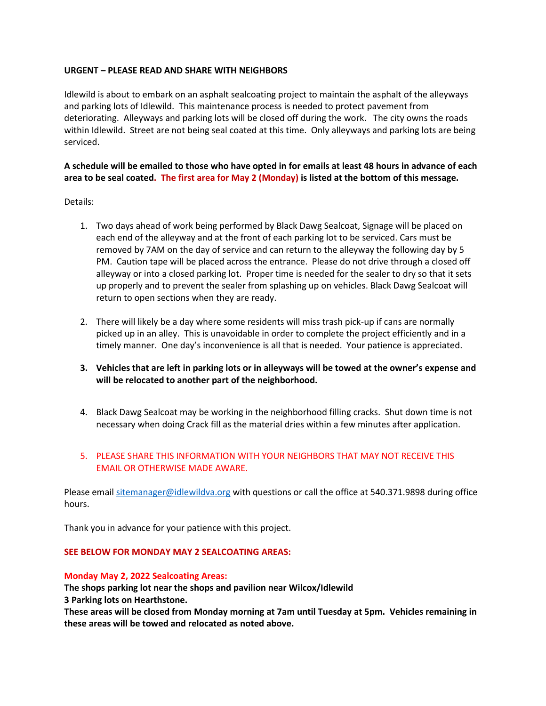## **URGENT – PLEASE READ AND SHARE WITH NEIGHBORS**

Idlewild is about to embark on an asphalt sealcoating project to maintain the asphalt of the alleyways and parking lots of Idlewild. This maintenance process is needed to protect pavement from deteriorating. Alleyways and parking lots will be closed off during the work. The city owns the roads within Idlewild. Street are not being seal coated at this time. Only alleyways and parking lots are being serviced.

# **A schedule will be emailed to those who have opted in for emails at least 48 hours in advance of each area to be seal coated. The first area for May 2 (Monday) is listed at the bottom of this message.**

Details:

- 1. Two days ahead of work being performed by Black Dawg Sealcoat, Signage will be placed on each end of the alleyway and at the front of each parking lot to be serviced. Cars must be removed by 7AM on the day of service and can return to the alleyway the following day by 5 PM. Caution tape will be placed across the entrance. Please do not drive through a closed off alleyway or into a closed parking lot. Proper time is needed for the sealer to dry so that it sets up properly and to prevent the sealer from splashing up on vehicles. Black Dawg Sealcoat will return to open sections when they are ready.
- 2. There will likely be a day where some residents will miss trash pick-up if cans are normally picked up in an alley. This is unavoidable in order to complete the project efficiently and in a timely manner. One day's inconvenience is all that is needed. Your patience is appreciated.
- **3. Vehicles that are left in parking lots or in alleyways will be towed at the owner's expense and will be relocated to another part of the neighborhood.**
- 4. Black Dawg Sealcoat may be working in the neighborhood filling cracks. Shut down time is not necessary when doing Crack fill as the material dries within a few minutes after application.

# 5. PLEASE SHARE THIS INFORMATION WITH YOUR NEIGHBORS THAT MAY NOT RECEIVE THIS EMAIL OR OTHERWISE MADE AWARE.

Please email [sitemanager@idlewildva.org](mailto:sitemanager@idlewildva.org) with questions or call the office at 540.371.9898 during office hours.

Thank you in advance for your patience with this project.

# **SEE BELOW FOR MONDAY MAY 2 SEALCOATING AREAS:**

#### **Monday May 2, 2022 Sealcoating Areas:**

**The shops parking lot near the shops and pavilion near Wilcox/Idlewild**

**3 Parking lots on Hearthstone.**

**These areas will be closed from Monday morning at 7am until Tuesday at 5pm. Vehicles remaining in these areas will be towed and relocated as noted above.**